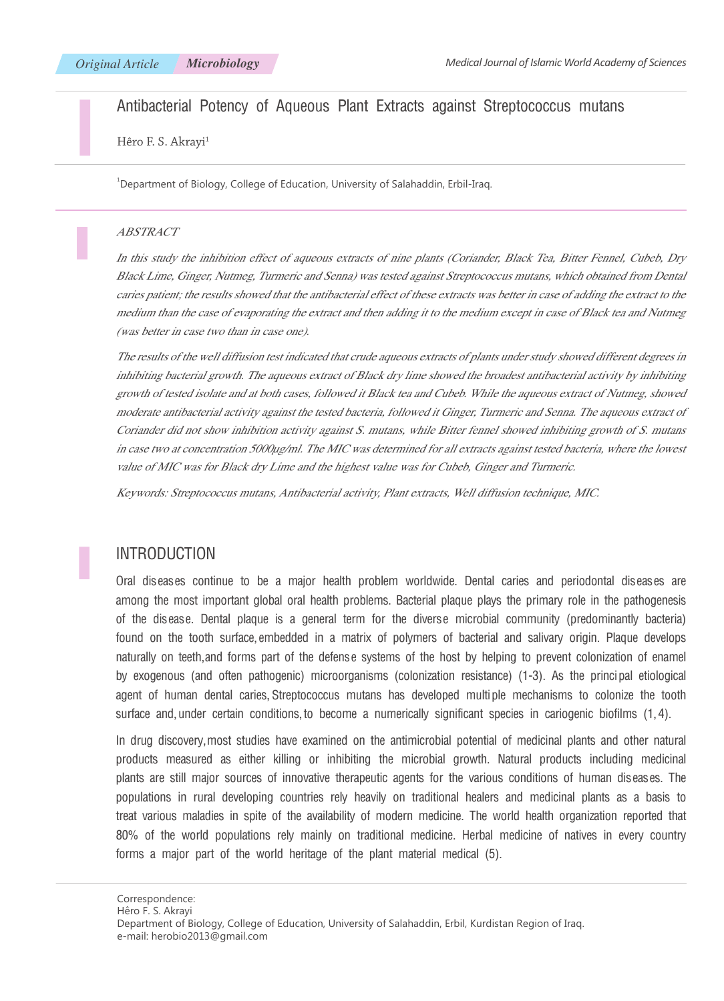## Antibacterial Potency of Aqueous Plant Extracts against Streptococcus mutans

Hêro F. S. Akrayi<sup>1</sup>

 $^{\rm 1}$ Department of Biology, College of Education, University of Salahaddin, Erbil-Iraq.

#### ABSTRACT

In this study the inhibition effect of aqueous extracts of nine plants (Coriander, Black Tea, Bitter Fennel, Cubeb, Dry Black Lime, Ginger, Nutmeg, Turmeric and Senna) was tested against Streptococcus mutans, which obtained from Dental caries patient; the results showed that the antibacterial effect of these extracts was better in case of adding the extract to the medium than the case of evaporating the extract and then adding it to the medium except in case of Black tea and Nutmeg (was better in case two than in case one).

The results of the well diffusion test indicated that crude aqueous extracts of plants under study showed different degrees in inhibiting bacterial growth. The aqueous extract of Black dry lime showed the broadest antibacterial activity by inhibiting growth of tested isolate and at both cases, followed it Black tea and Cubeb. While the aqueous extract of Nutmeg, showed moderate antibacterial activity against the tested bacteria, followed it Ginger, Turmeric and Senna. The aqueous extract of Coriander did not show inhibition activity against S. mutans, while Bitter fennel showed inhibiting growth of S. mutans in case two at concentration 5000μg/ml. The MIC was determined for all extracts against tested bacteria, where the lowest value of MIC was for Black dry Lime and the highest value was for Cubeb, Ginger and Turmeric.

Keywords: Streptococcus mutans, Antibacterial activity, Plant extracts, Well diffusion technique, MIC.

## **INTRODUCTION**

Oral diseases continue to be a major health problem worldwide. Dental caries and periodontal diseases are among the most important global oral health problems. Bacterial plaque plays the primary role in the pathogenesis of the disease. Dental plaque is a general term for the diverse microbial community (predominantly bacteria) found on the tooth surface, embedded in a matrix of polymers of bacterial and salivary origin. Plaque develops naturally on teeth, and forms part of the defense systems of the host by helping to prevent colonization of enamel by exogenous (and often pathogenic) microorganisms (colonization resistance) (1-3). As the principal etiological agent of human dental caries, Streptococcus mutans has developed multiple mechanisms to colonize the tooth surface and, under certain conditions, to become a numerically significant species in cariogenic biofilms (1,4).

In drug discovery, most studies have examined on the antimicrobial potential of medicinal plants and other natural products measured as either killing or inhibiting the microbial growth. Natural products including medicinal plants are still major sources of innovative therapeutic agents for the various conditions of human diseases. The populations in rural developing countries rely heavily on traditional healers and medicinal plants as a basis to treat various maladies in spite of the availability of modern medicine. The world health organization reported that 80% of the world populations rely mainly on traditional medicine. Herbal medicine of natives in every country forms a major part of the world heritage of the plant material medical (5).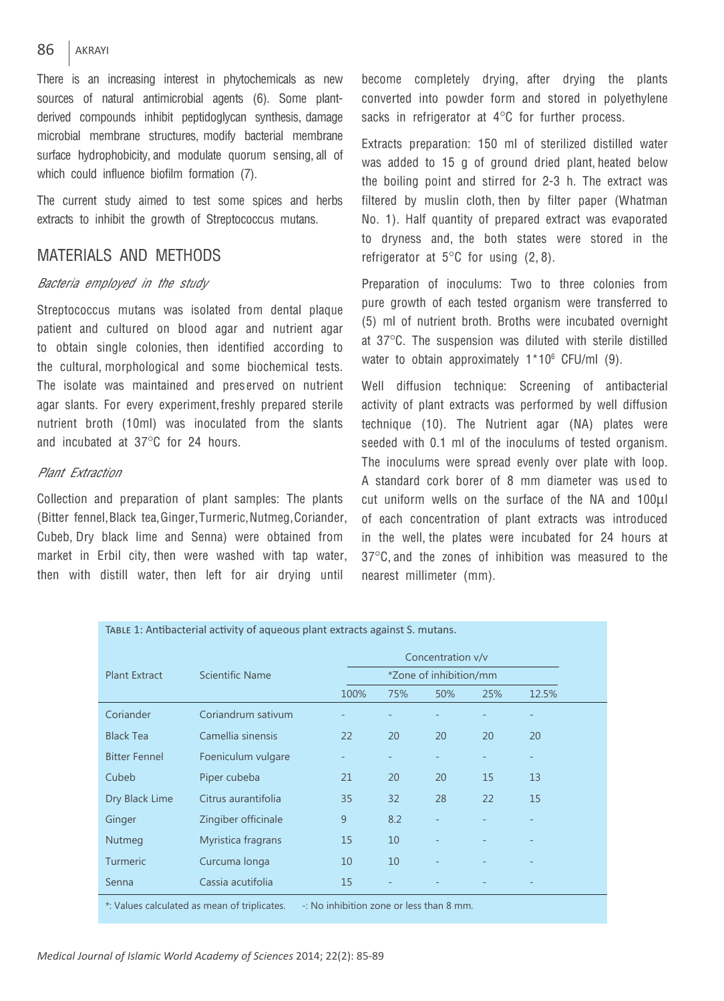#### 86 AKRAYI

There is an increasing interest in phytochemicals as new sources of natural antimicrobial agents (6). Some plantderived compounds inhibit peptidoglycan synthesis, damage microbial membrane structures, modify bacterial membrane surface hydrophobicity, and modulate quorum sensing, all of which could influence biofilm formation (7).

The current study aimed to test some spices and herbs extracts to inhibit the growth of Streptococcus mutans.

# MATERIALS AND MethodS

## Bacteria employed in the study

Streptococcus mutans was isolated from dental plaque patient and cultured on blood agar and nutrient agar to obtain single colonies, then identified according to the cultural, morphological and some biochemical tests. The isolate was maintained and pres erved on nutrient agar slants. For every experiment, freshly prepared sterile nutrient broth (10ml) was inoculated from the slants and incubated at 37℃°C for 24 hours.

### Plant Extraction

Collection and preparation of plant samples: The plants (Bitter fennel, Black tea, Ginger, Turmeric, Nutmeg, Coriander, Cubeb, Dry black lime and Senna) were obtained from market in Erbil city, then were washed with tap water, then with distill water, then left for air drying until

become completely drying, after drying the plants converted into powder form and stored in polyethylene sacks in refrigerator at 4°C for further process.

Extracts preparation: 150 ml of sterilized distilled water was added to 15 g of ground dried plant, heated below the boiling point and stirred for 2-3 h. The extract was filtered by muslin cloth, then by filter paper (Whatman No. 1). Half quantity of prepared extract was evaporated to dryness and, the both states were stored in the refrigerator at  $5^{\circ}$ C for using (2, 8).

Preparation of inoculums: Two to three colonies from pure growth of each tested organism were transferred to (5) ml of nutrient broth. Broths were incubated overnight at 37°C. The suspension was diluted with sterile distilled water to obtain approximately  $1*10<sup>6</sup>$  CFU/ml (9).

Well diffusion technique: Screening of antibacterial activity of plant extracts was performed by well diffusion technique (10). The Nutrient agar (NA) plates were seeded with 0.1 ml of the inoculums of tested organism. The inoculums were spread evenly over plate with loop. A standard cork borer of 8 mm diameter was us ed to cut uniform wells on the surface of the NA and 100ul of each concentration of plant extracts was introduced in the well, the plates were incubated for 24 hours at 37°C, and the zones of inhibition was measured to the nearest millimeter (mm).

| <b>Plant Extract</b> | <b>Scientific Name</b> | Concentration v/v      |     |     |     |       |  |  |
|----------------------|------------------------|------------------------|-----|-----|-----|-------|--|--|
|                      |                        | *Zone of inhibition/mm |     |     |     |       |  |  |
|                      |                        | 100%                   | 75% | 50% | 25% | 12.5% |  |  |
| Coriander            | Coriandrum sativum     |                        |     |     |     | -     |  |  |
| <b>Black Tea</b>     | Camellia sinensis      | 22                     | 20  | 20  | 20  | 20    |  |  |
| <b>Bitter Fennel</b> | Foeniculum vulgare     |                        |     |     |     | -     |  |  |
| Cubeb                | Piper cubeba           | 21                     | 20  | 20  | 15  | 13    |  |  |
| Dry Black Lime       | Citrus aurantifolia    | 35                     | 32  | 28  | 22  | 15    |  |  |
| Ginger               | Zingiber officinale    | 9                      | 8.2 |     |     |       |  |  |
| Nutmeg               | Myristica fragrans     | 15                     | 10  |     |     |       |  |  |
| <b>Turmeric</b>      | Curcuma longa          | 10                     | 10  |     |     |       |  |  |
| Senna                | Cassia acutifolia      | 15                     |     |     |     |       |  |  |

 $\stackrel{*}{\text{:}}$  Values calculated as mean of triplicates.  $\quad$  -: No inhibition zone or less than 8 mm.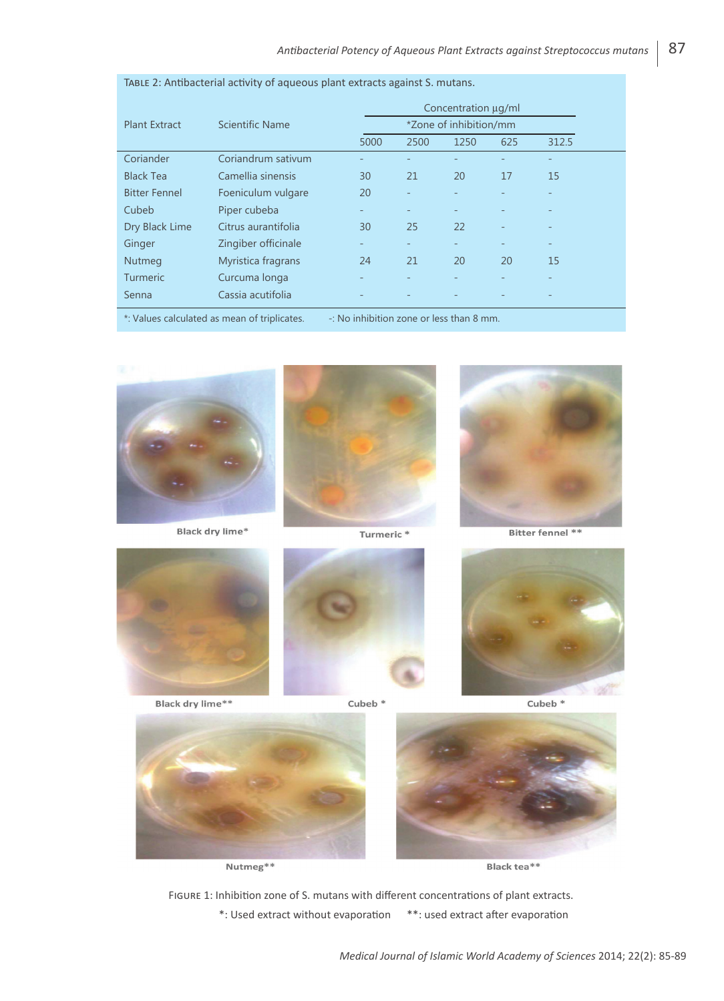|                                              | Scientific Name     | Concentration µg/ml    |                                                |      |     |       |  |  |
|----------------------------------------------|---------------------|------------------------|------------------------------------------------|------|-----|-------|--|--|
| <b>Plant Extract</b>                         |                     | *Zone of inhibition/mm |                                                |      |     |       |  |  |
|                                              |                     | 5000                   | 2500                                           | 1250 | 625 | 312.5 |  |  |
| Coriander                                    | Coriandrum sativum  |                        |                                                |      |     |       |  |  |
| <b>Black Tea</b>                             | Camellia sinensis   | 30                     | 21                                             | 20   | 17  | 15    |  |  |
| <b>Bitter Fennel</b>                         | Foeniculum vulgare  | 20                     |                                                |      |     |       |  |  |
| Cubeb                                        | Piper cubeba        |                        |                                                |      |     |       |  |  |
| Dry Black Lime                               | Citrus aurantifolia | 30                     | 25                                             | 22   |     |       |  |  |
| Ginger                                       | Zingiber officinale | -                      |                                                |      |     | -     |  |  |
| Nutmeg                                       | Myristica fragrans  | 24                     | 21                                             | 20   | 20  | 15    |  |  |
| <b>Turmeric</b>                              | Curcuma longa       |                        |                                                |      |     |       |  |  |
| Senna                                        | Cassia acutifolia   |                        |                                                |      |     |       |  |  |
| *: Values calculated as mean of triplicates. |                     |                        | $\sim$ : No inhibition zone or less than 8 mm. |      |     |       |  |  |

Table 2: Antibacterial activity of aqueous plant extracts against S. mutans.



Black dry lime\*

Black dry lime\*\*







Bitter fennel \*\*

Cubeb $*$ 



Nutmeg\*\*

Black tea\*\*

Figure 1: Inhibition zone of S. mutans with different concentrations of plant extracts. \*: Used extract without evaporation \*\*: used extract after evaporation

Cubeb<sup>\*</sup>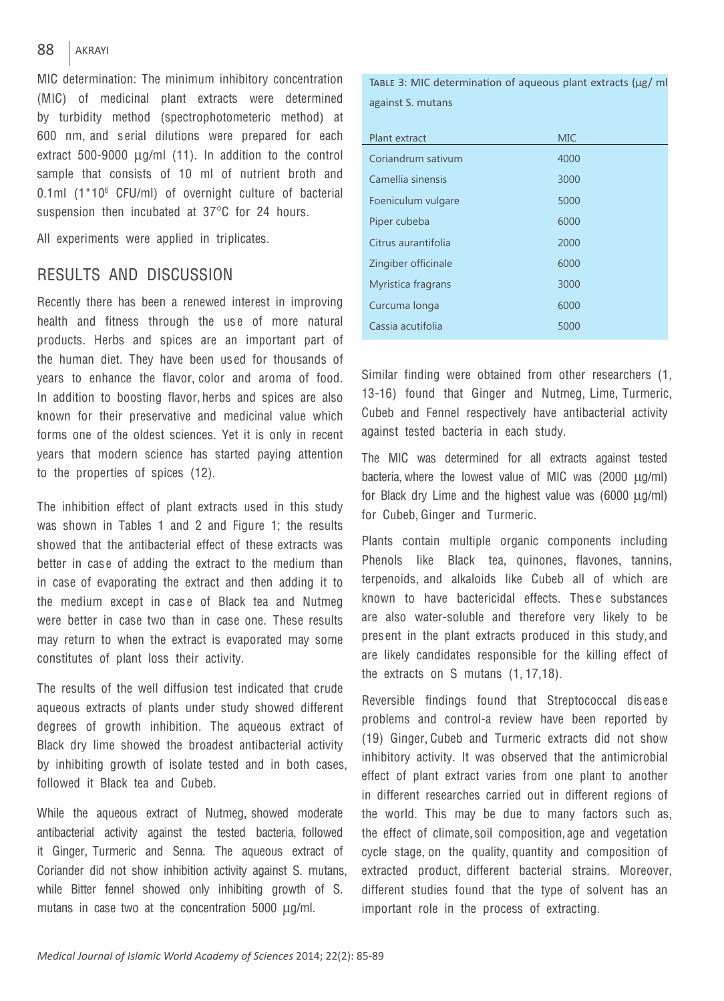#### 88 AKRAYI

MIC determination: The minimum inhibitory concentration (MIC) of medicinal plant extracts were determined by turbidity method (spectrophotometeric method) at 600 nm, and s erial dilutions were prepared for each extract 500-9000  $\mu$ g/ml (11). In addition to the control sample that consists of 10 ml of nutrient broth and 0.1ml (1\*10<sup>6</sup> CFU/ml) of overnight culture of bacterial suspension then incubated at 37°C for 24 hours.

All experiments were applied in triplicates.

## RESULTS AND DISCUSSION

Recently there has been a renewed interest in improving health and fitness through the use of more natural products. Herbs and spices are an important part of the human diet. They have been us ed for thousands of years to enhance the flavor, color and aroma of food. In addition to boosting flavor, herbs and spices are also known for their preservative and medicinal value which forms one of the oldest sciences. Yet it is only in recent years that modern science has started paying attention to the properties of spices (12).

The inhibition effect of plant extracts used in this study was shown in Tables 1 and 2 and Figure 1; the results showed that the antibacterial effect of these extracts was better in case of adding the extract to the medium than in case of evaporating the extract and then adding it to the medium except in case of Black tea and Nutmeg were better in case two than in case one. These results may return to when the extract is evaporated may some constitutes of plant loss their activity.

The results of the well diffusion test indicated that crude aqueous extracts of plants under study showed different degrees of growth inhibition. The aqueous extract of Black dry lime showed the broadest antibacterial activity by inhibiting growth of isolate tested and in both cases, followed it Black tea and Cubeb.

While the aqueous extract of Nutmeg, showed moderate antibacterial activity against the tested bacteria, followed it Ginger, Turmeric and Senna. The aqueous extract of Coriander did not show inhibition activity against S. mutans, while Bitter fennel showed only inhibiting growth of S. mutans in case two at the concentration  $5000 \mu g/ml$ .

Table 3: MIC determination of aqueous plant extracts (μg/ ml against S. mutans

| Plant extract       | <b>MIC</b> |
|---------------------|------------|
| Coriandrum sativum  | 4000       |
| Camellia sinensis   | 3000       |
| Foeniculum vulgare  | 5000       |
| Piper cubeba        | 6000       |
| Citrus aurantifolia | 2000       |
| Zingiber officinale | 6000       |
| Myristica fragrans  | 3000       |
| Curcuma longa       | 6000       |
| Cassia acutifolia   | 5000       |

Similar finding were obtained from other researchers (1, 13-16) found that Ginger and Nutmeg, Lime, Turmeric, Cubeb and Fennel respectively have antibacterial activity against tested bacteria in each study.

The MIC was determined for all extracts against tested bacteria, where the lowest value of MIC was (2000 ug/ml) for Black dry Lime and the highest value was  $(6000 \text{ µg/ml})$ for Cubeb, Ginger and Turmeric.

Plants contain multiple organic components including Phenols like Black tea, quinones, flavones, tannins, terpenoids, and alkaloids like Cubeb all of which are known to have bactericidal effects. These substances are also water-soluble and therefore very likely to be pres ent in the plant extracts produced in this study, and are likely candidates responsible for the killing effect of the extracts on S mutans (1, 17,18).

Reversible findings found that Streptococcal dis eas e problems and control-a review have been reported by (19) Ginger, Cubeb and Turmeric extracts did not show inhibitory activity. It was observed that the antimicrobial effect of plant extract varies from one plant to another in different researches carried out in different regions of the world. This may be due to many factors such as, the effect of climate, soil composition, age and vegetation cycle stage, on the quality, quantity and composition of extracted product, different bacterial strains. Moreover, different studies found that the type of solvent has an important role in the process of extracting.